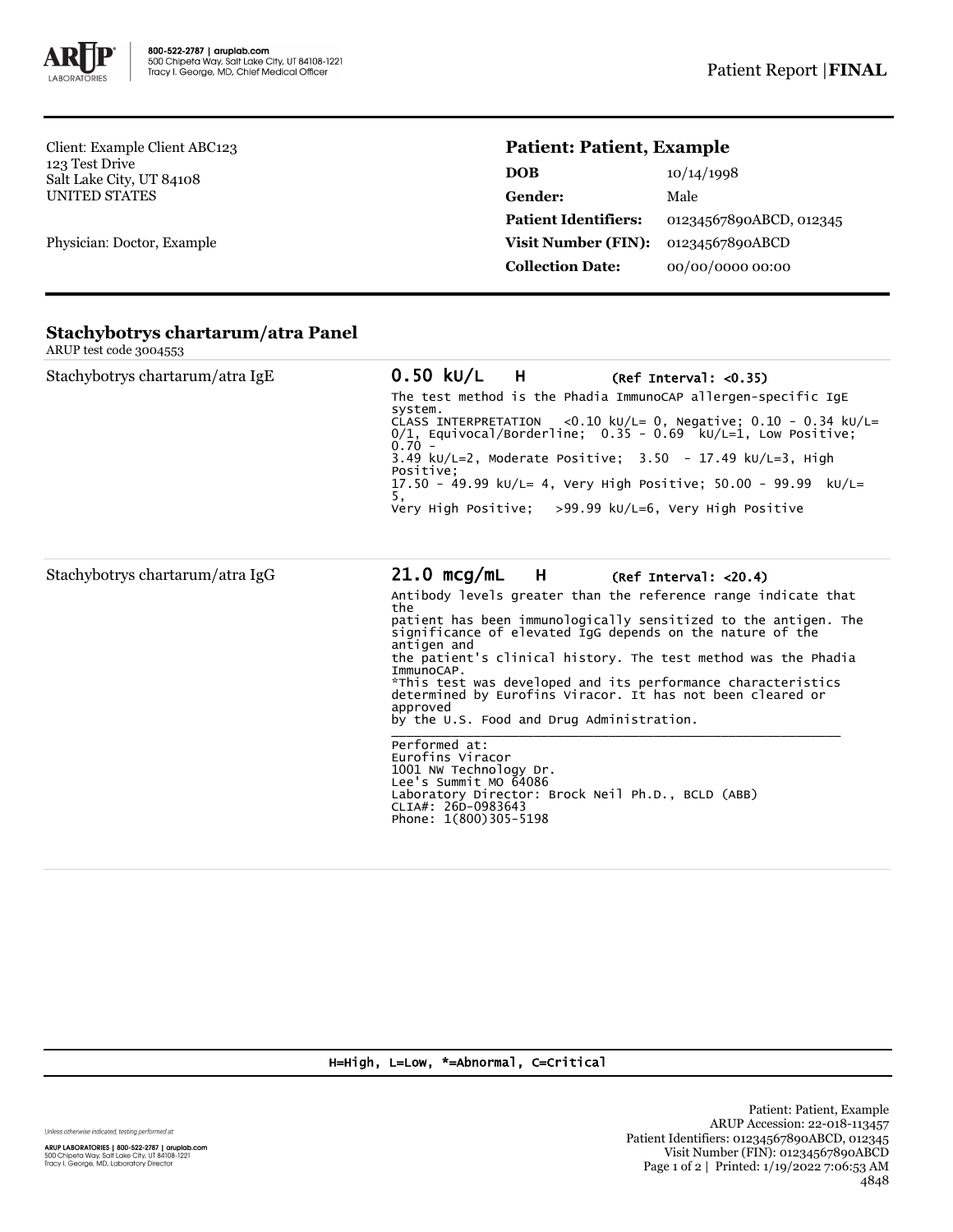

Client: Example Client ABC123 123 Test Drive Salt Lake City, UT 84108 UNITED STATES

Physician: Doctor, Example

## **Patient: Patient, Example**

| DOB                         | 10/14/1998              |
|-----------------------------|-------------------------|
| Gender:                     | Male                    |
| <b>Patient Identifiers:</b> | 01234567890ABCD, 012345 |
| <b>Visit Number (FIN):</b>  | 01234567890ABCD         |
| <b>Collection Date:</b>     | 00/00/0000 00:00        |

|                        | Stachybotrys chartarum/atra Panel |
|------------------------|-----------------------------------|
| ARUP test code 3004553 |                                   |

| $\frac{1}{2}$                   |                                                                                                                                                                                                                                                                                                                                                                                                                                                                                                                                                                                                                                                                                                                                             |
|---------------------------------|---------------------------------------------------------------------------------------------------------------------------------------------------------------------------------------------------------------------------------------------------------------------------------------------------------------------------------------------------------------------------------------------------------------------------------------------------------------------------------------------------------------------------------------------------------------------------------------------------------------------------------------------------------------------------------------------------------------------------------------------|
| Stachybotrys chartarum/atra IgE | 0.50 kU/L H<br>(Ref Interval: <0.35)<br>The test method is the Phadia ImmunoCAP allergen-specific IqE<br>system.<br>CLASS INTERPRETATION <0.10 kU/L= 0, Negative; $0.10 - 0.34$ kU/L=<br>$0/1$ . Equivocal/Borderline: $0.35 - 0.69$ kU/L=1. Low Positive:<br>$0.70 -$<br>3.49 kU/L=2, Moderate Positive; $3.50 - 17.49$ kU/L=3, High<br>Positive:<br>17.50 - 49.99 ku/L= 4, Very High Positive; 50.00 - 99.99 ku/L=<br>5,<br>Very High Positive: $>99.99$ kU/L=6, Very High Positive                                                                                                                                                                                                                                                       |
| Stachybotrys chartarum/atra IgG | $21.0 \text{ mcq/mL}$ H<br>(Ref Interval: <20.4)<br>Antibody levels greater than the reference range indicate that<br>the<br>patient has been immunologically sensitized to the antigen. The<br>significance of elevated IgG depends on the nature of the<br>antigen and<br>the patient's clinical history. The test method was the Phadia<br>ImmunoCAP.<br>*This test was developed and its performance characteristics<br>determined by Eurofins Viracor. It has not been cleared or<br>approved<br>by the U.S. Food and Drug Administration.<br>Performed at:<br>Eurofins Viracor<br>1001 NW Technology Dr.<br>Lee's Summit MO 64086<br>Laboratory Director: Brock Neil Ph.D., BCLD (ABB)<br>CLIA#: 26D-0983643<br>Phone: 1(800)305-5198 |

H=High, L=Low, \*=Abnormal, C=Critical

Unless otherwise indicated, testing performed at:

**ARUP LABORATORIES | 800-522-2787 | aruplab.com**<br>500 Chipeta Way, Salt Lake City, UT 84108-1221<br>Tracy I. George, MD, Laboratory Director